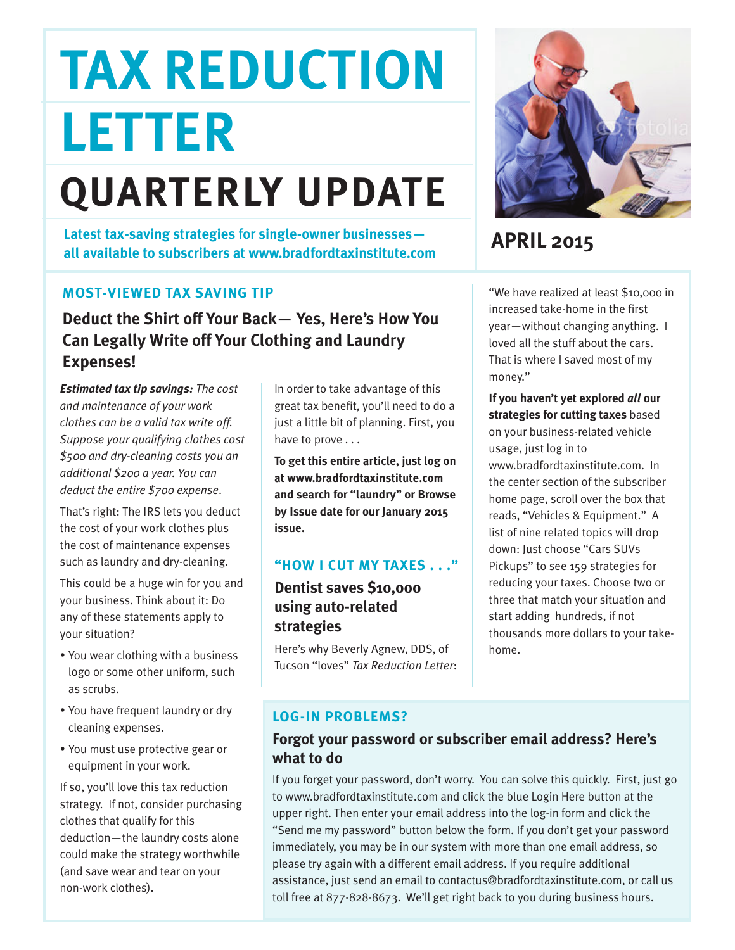# **TAX REDUCTION LETTER**

## **QUARTERLY UPDATE**

**APRIL 2015 Latest tax-saving strategies for single-owner businesses all available to subscribers at www.bradfordtaxinstitute.com**

#### **MOST-VIEWED TAX SAVING TIP**

**Deduct the Shirt off Your Back— Yes, Here's How You Can Legally Write off Your Clothing and Laundry Expenses!**

*Estimated tax tip savings: The cost and maintenance of your work clothes can be a valid tax write off. Suppose your qualifying clothes cost \$500 and dry-cleaning costs you an additional \$200 a year. You can deduct the entire \$700 expense*.

That's right: The IRS lets you deduct the cost of your work clothes plus the cost of maintenance expenses such as laundry and dry-cleaning.

This could be a huge win for you and your business. Think about it: Do any of these statements apply to your situation?

- You wear clothing with a business logo or some other uniform, such as scrubs.
- You have frequent laundry or dry cleaning expenses.
- You must use protective gear or equipment in your work.

If so, you'll love this tax reduction strategy. If not, consider purchasing clothes that qualify for this deduction—the laundry costs alone could make the strategy worthwhile (and save wear and tear on your non-work clothes).

In order to take advantage of this great tax benefit, you'll need to do a just a little bit of planning. First, you have to prove . . .

**To get this entire article, just log on at www.bradfordtaxinstitute.com and search for "laundry" or Browse by Issue date for our January 2015 issue.**

#### **"HOW I CUT MY TAXES . . ."**

#### **Dentist saves \$10,000 using auto-related strategies**

Here's why Beverly Agnew, DDS, of Tucson "loves" *Tax Reduction Letter*:



"We have realized at least \$10,000 in increased take-home in the first year—without changing anything. I loved all the stuff about the cars. That is where I saved most of my money."

**If you haven't yet explored** *all* **our strategies for cutting taxes** based on your business-related vehicle usage, just log in to

www.bradfordtaxinstitute.com. In the center section of the subscriber home page, scroll over the box that reads, "Vehicles & Equipment." A list of nine related topics will drop down: Just choose "Cars SUVs Pickups" to see 159 strategies for reducing your taxes. Choose two or three that match your situation and start adding hundreds, if not thousands more dollars to your takehome.

#### **LOG-IN PROBLEMS?**

#### **Forgot your password or subscriber email address? Here's what to do**

If you forget your password, don't worry. You can solve this quickly. First, just go to www.bradfordtaxinstitute.com and click the blue Login Here button at the upper right. Then enter your email address into the log-in form and click the "Send me my password" button below the form. If you don't get your password immediately, you may be in our system with more than one email address, so please try again with a different email address. If you require additional assistance, just send an email to contactus@bradfordtaxinstitute.com, or call us toll free at 877-828-8673. We'll get right back to you during business hours.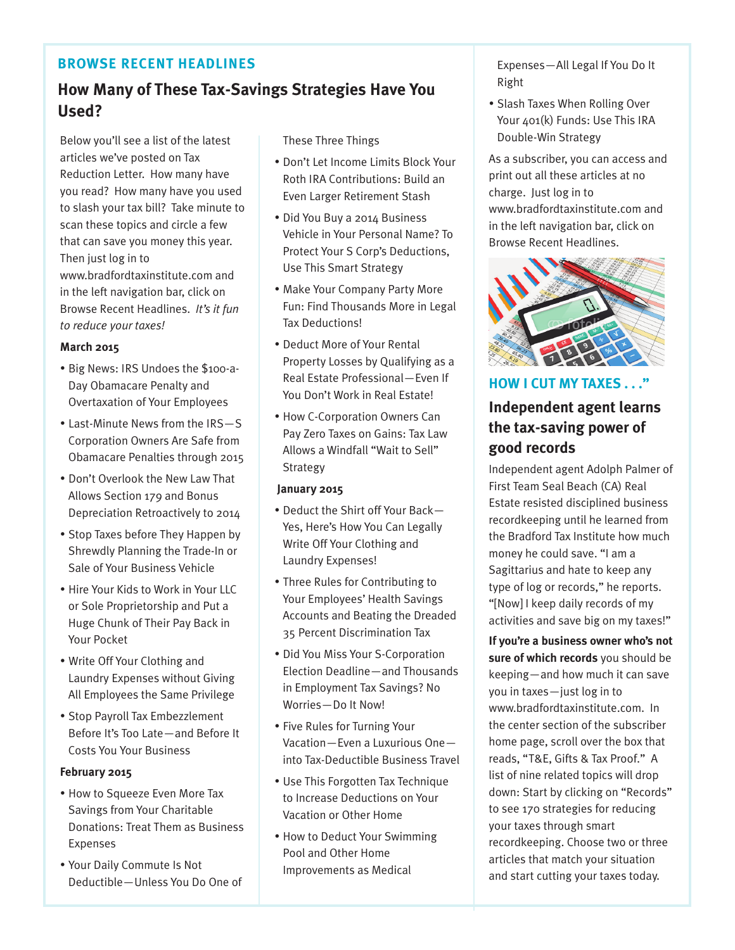#### **BROWSE RECENT HEADLINES**

#### **How Many of These Tax-Savings Strategies Have You Used?**

Below you'll see a list of the latest articles we've posted on Tax Reduction Letter. How many have you read? How many have you used to slash your tax bill? Take minute to scan these topics and circle a few that can save you money this year. Then just log in to www.bradfordtaxinstitute.com and in the left navigation bar, click on Browse Recent Headlines. *It's it fun to reduce your taxes!*

#### **March 2015**

- Big News: IRS Undoes the \$100-a-Day Obamacare Penalty and Overtaxation of Your Employees
- Last-Minute News from the IRS—S Corporation Owners Are Safe from Obamacare Penalties through 2015
- Don't Overlook the New Law That Allows Section 179 and Bonus Depreciation Retroactively to 2014
- Stop Taxes before They Happen by Shrewdly Planning the Trade-In or Sale of Your Business Vehicle
- Hire Your Kids to Work in Your LLC or Sole Proprietorship and Put a Huge Chunk of Their Pay Back in Your Pocket
- Write Off Your Clothing and Laundry Expenses without Giving All Employees the Same Privilege
- Stop Payroll Tax Embezzlement Before It's Too Late—and Before It Costs You Your Business

#### **February 2015**

- How to Squeeze Even More Tax Savings from Your Charitable Donations: Treat Them as Business Expenses
- Your Daily Commute Is Not Deductible—Unless You Do One of

These Three Things

- Don't Let Income Limits Block Your Roth IRA Contributions: Build an Even Larger Retirement Stash
- Did You Buy a 2014 Business Vehicle in Your Personal Name? To Protect Your S Corp's Deductions, Use This Smart Strategy
- Make Your Company Party More Fun: Find Thousands More in Legal Tax Deductions!
- Deduct More of Your Rental Property Losses by Qualifying as a Real Estate Professional—Even If You Don't Work in Real Estate!
- How C-Corporation Owners Can Pay Zero Taxes on Gains: Tax Law Allows a Windfall "Wait to Sell" Strategy

#### **January 2015**

- Deduct the Shirt off Your Back— Yes, Here's How You Can Legally Write Off Your Clothing and Laundry Expenses!
- Three Rules for Contributing to Your Employees' Health Savings Accounts and Beating the Dreaded 35 Percent Discrimination Tax
- Did You Miss Your S-Corporation Election Deadline—and Thousands in Employment Tax Savings? No Worries—Do It Now!
- Five Rules for Turning Your Vacation—Even a Luxurious One into Tax-Deductible Business Travel
- Use This Forgotten Tax Technique to Increase Deductions on Your Vacation or Other Home
- How to Deduct Your Swimming Pool and Other Home Improvements as Medical

Expenses—All Legal If You Do It Right

• Slash Taxes When Rolling Over Your 401(k) Funds: Use This IRA Double-Win Strategy

As a subscriber, you can access and print out all these articles at no charge. Just log in to www.bradfordtaxinstitute.com and in the left navigation bar, click on Browse Recent Headlines.



#### **HOW I CUT MY TAXES . . ." Independent agent learns the tax-saving power of good records**

Independent agent Adolph Palmer of First Team Seal Beach (CA) Real Estate resisted disciplined business recordkeeping until he learned from the Bradford Tax Institute how much money he could save. "I am a Sagittarius and hate to keep any type of log or records," he reports. "[Now] I keep daily records of my activities and save big on my taxes!"

**If you're a business owner who's not sure of which records** you should be keeping—and how much it can save you in taxes—just log in to www.bradfordtaxinstitute.com. In the center section of the subscriber home page, scroll over the box that reads, "T&E, Gifts & Tax Proof." A list of nine related topics will drop down: Start by clicking on "Records" to see 170 strategies for reducing your taxes through smart recordkeeping. Choose two or three articles that match your situation and start cutting your taxes today.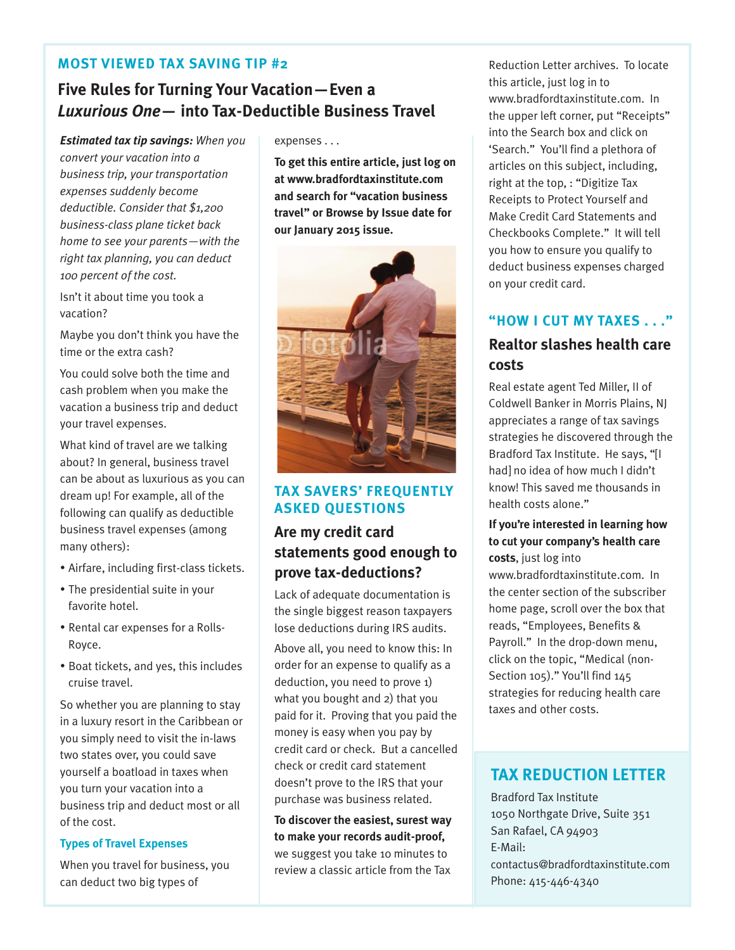#### **MOST VIEWED TAX SAVING TIP #2**

#### **Five Rules for Turning Your Vacation—Even a** *Luxurious One***— into Tax-Deductible Business Travel**

*Estimated tax tip savings: When you convert your vacation into a business trip, your transportation expenses suddenly become deductible. Consider that \$1,200 business-class plane ticket back home to see your parents—with the right tax planning, you can deduct 100 percent of the cost.*

Isn't it about time you took a vacation?

Maybe you don't think you have the time or the extra cash?

You could solve both the time and cash problem when you make the vacation a business trip and deduct your travel expenses.

What kind of travel are we talking about? In general, business travel can be about as luxurious as you can dream up! For example, all of the following can qualify as deductible business travel expenses (among many others):

- Airfare, including first-class tickets.
- The presidential suite in your favorite hotel.
- Rental car expenses for a Rolls-Royce.
- Boat tickets, and yes, this includes cruise travel.

So whether you are planning to stay in a luxury resort in the Caribbean or you simply need to visit the in-laws two states over, you could save yourself a boatload in taxes when you turn your vacation into a business trip and deduct most or all of the cost.

#### **Types of Travel Expenses**

When you travel for business, you can deduct two big types of

expenses . . .

**To get this entire article, just log on at www.bradfordtaxinstitute.com and search for "vacation business travel" or Browse by Issue date for our January 2015 issue.**



#### **TAX SAVERS' FREQUENTLY ASKED QUESTIONS**

#### **Are my credit card statements good enough to prove tax-deductions?**

Lack of adequate documentation is the single biggest reason taxpayers lose deductions during IRS audits.

Above all, you need to know this: In order for an expense to qualify as a deduction, you need to prove 1) what you bought and 2) that you paid for it. Proving that you paid the money is easy when you pay by credit card or check. But a cancelled check or credit card statement doesn't prove to the IRS that your purchase was business related.

**To discover the easiest, surest way to make your records audit-proof,** we suggest you take 10 minutes to review a classic article from the Tax

Reduction Letter archives. To locate this article, just log in to www.bradfordtaxinstitute.com. In the upper left corner, put "Receipts" into the Search box and click on 'Search." You'll find a plethora of articles on this subject, including, right at the top, : "Digitize Tax Receipts to Protect Yourself and Make Credit Card Statements and Checkbooks Complete." It will tell you how to ensure you qualify to deduct business expenses charged on your credit card.

#### **"HOW I CUT MY TAXES . . ."**

#### **Realtor slashes health care costs**

Real estate agent Ted Miller, II of Coldwell Banker in Morris Plains, NJ appreciates a range of tax savings strategies he discovered through the Bradford Tax Institute. He says, "[I had] no idea of how much I didn't know! This saved me thousands in health costs alone."

#### **If you're interested in learning how to cut your company's health care costs**, just log into

www.bradfordtaxinstitute.com. In the center section of the subscriber home page, scroll over the box that reads, "Employees, Benefits & Payroll." In the drop-down menu, click on the topic, "Medical (non-Section 105)." You'll find 145 strategies for reducing health care taxes and other costs.

#### **TAX REDUCTION LETTER**

Bradford Tax Institute 1050 Northgate Drive, Suite 351 San Rafael, CA 94903 E-Mail: contactus@bradfordtaxinstitute.com Phone: 415-446-4340